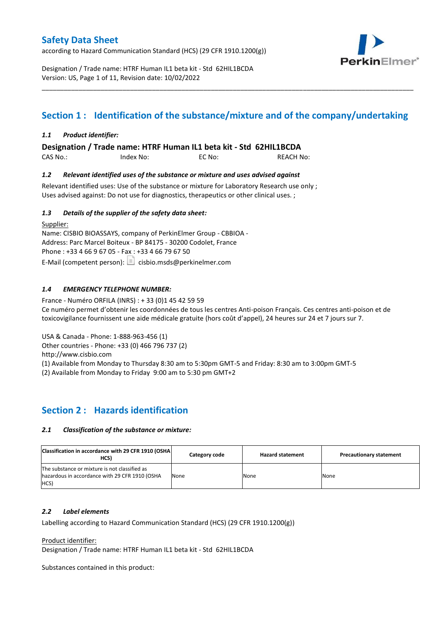according to Hazard Communication Standard (HCS) (29 CFR 1910.1200(g))



Designation / Trade name: HTRF Human IL1 beta kit - Std 62HIL1BCDA Version: US, Page 1 of 11, Revision date: 10/02/2022

# **Section 1 : Identification of the substance/mixture and of the company/undertaking**

\_\_\_\_\_\_\_\_\_\_\_\_\_\_\_\_\_\_\_\_\_\_\_\_\_\_\_\_\_\_\_\_\_\_\_\_\_\_\_\_\_\_\_\_\_\_\_\_\_\_\_\_\_\_\_\_\_\_\_\_\_\_\_\_\_\_\_\_\_\_\_\_\_\_\_\_\_\_\_\_\_\_\_\_\_\_\_\_\_\_\_\_\_\_\_\_\_\_\_\_\_

### *1.1 Product identifier:*

**Designation / Trade name: HTRF Human IL1 beta kit - Std 62HIL1BCDA** 

CAS No.: Index No: EC No: REACH No:

### *1.2 Relevant identified uses of the substance or mixture and uses advised against*

Relevant identified uses: Use of the substance or mixture for Laboratory Research use only ; Uses advised against: Do not use for diagnostics, therapeutics or other clinical uses. ;

### *1.3 Details of the supplier of the safety data sheet:*

Supplier: Name: CISBIO BIOASSAYS, company of PerkinElmer Group - CBBIOA - Address: Parc Marcel Boiteux - BP 84175 - 30200 Codolet, France Phone : +33 4 66 9 67 05 - Fax : +33 4 66 79 67 50 E-Mail (competent person):  $\boxed{\equiv}$  cisbio.msds@perkinelmer.com

### *1.4 EMERGENCY TELEPHONE NUMBER:*

France - Numéro ORFILA (INRS) : + 33 (0)1 45 42 59 59 Ce numéro permet d'obtenir les coordonnées de tous les centres Anti-poison Français. Ces centres anti-poison et de toxicovigilance fournissent une aide médicale gratuite (hors coût d'appel), 24 heures sur 24 et 7 jours sur 7.

USA & Canada - Phone: 1-888-963-456 (1)

Other countries - Phone: +33 (0) 466 796 737 (2)

http://www.cisbio.com

(1) Available from Monday to Thursday 8:30 am to 5:30pm GMT-5 and Friday: 8:30 am to 3:00pm GMT-5

(2) Available from Monday to Friday 9:00 am to 5:30 pm GMT+2

# **Section 2 : Hazards identification**

### *2.1 Classification of the substance or mixture:*

| Classification in accordance with 29 CFR 1910 (OSHA)<br>HCS)                                            | Category code | <b>Hazard statement</b> | <b>Precautionary statement</b> |
|---------------------------------------------------------------------------------------------------------|---------------|-------------------------|--------------------------------|
| The substance or mixture is not classified as<br>hazardous in accordance with 29 CFR 1910 (OSHA<br>HCS) | None          | None                    | None                           |

#### *2.2 Label elements*

Labelling according to Hazard Communication Standard (HCS) (29 CFR 1910.1200(g))

Product identifier:

Designation / Trade name: HTRF Human IL1 beta kit - Std 62HIL1BCDA

Substances contained in this product: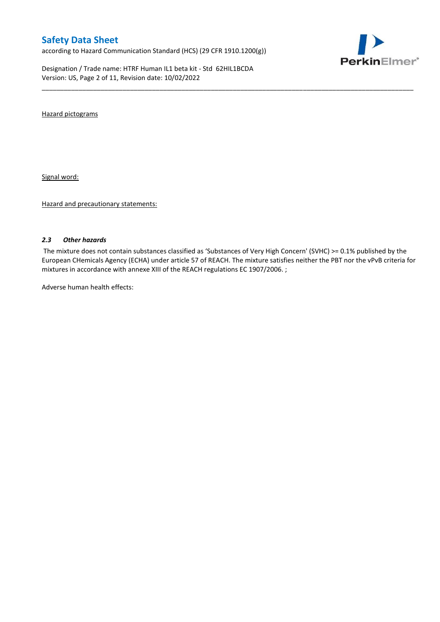according to Hazard Communication Standard (HCS) (29 CFR 1910.1200(g))

Designation / Trade name: HTRF Human IL1 beta kit - Std 62HIL1BCDA Version: US, Page 2 of 11, Revision date: 10/02/2022



Hazard pictograms

Signal word:

Hazard and precautionary statements:

#### *2.3 Other hazards*

The mixture does not contain substances classified as 'Substances of Very High Concern' (SVHC) >= 0.1% published by the European CHemicals Agency (ECHA) under article 57 of REACH. The mixture satisfies neither the PBT nor the vPvB criteria for mixtures in accordance with annexe XIII of the REACH regulations EC 1907/2006. ;

\_\_\_\_\_\_\_\_\_\_\_\_\_\_\_\_\_\_\_\_\_\_\_\_\_\_\_\_\_\_\_\_\_\_\_\_\_\_\_\_\_\_\_\_\_\_\_\_\_\_\_\_\_\_\_\_\_\_\_\_\_\_\_\_\_\_\_\_\_\_\_\_\_\_\_\_\_\_\_\_\_\_\_\_\_\_\_\_\_\_\_\_\_\_\_\_\_\_\_\_\_

Adverse human health effects: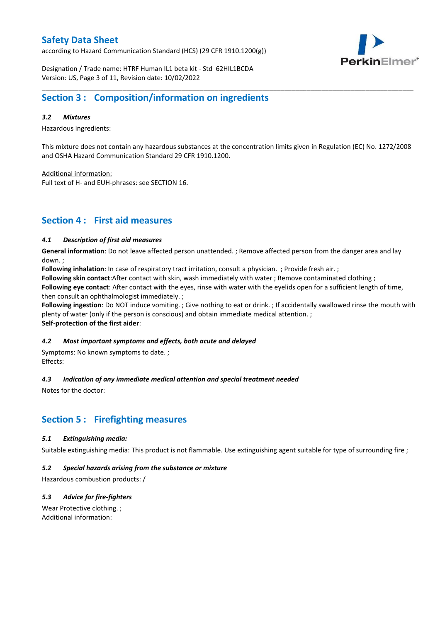according to Hazard Communication Standard (HCS) (29 CFR 1910.1200(g))



Designation / Trade name: HTRF Human IL1 beta kit - Std 62HIL1BCDA Version: US, Page 3 of 11, Revision date: 10/02/2022

## **Section 3 : Composition/information on ingredients**

#### *3.2 Mixtures*

Hazardous ingredients:

This mixture does not contain any hazardous substances at the concentration limits given in Regulation (EC) No. 1272/2008 and OSHA Hazard Communication Standard 29 CFR 1910.1200.

\_\_\_\_\_\_\_\_\_\_\_\_\_\_\_\_\_\_\_\_\_\_\_\_\_\_\_\_\_\_\_\_\_\_\_\_\_\_\_\_\_\_\_\_\_\_\_\_\_\_\_\_\_\_\_\_\_\_\_\_\_\_\_\_\_\_\_\_\_\_\_\_\_\_\_\_\_\_\_\_\_\_\_\_\_\_\_\_\_\_\_\_\_\_\_\_\_\_\_\_\_

Additional information:

Full text of H- and EUH-phrases: see SECTION 16.

### **Section 4 : First aid measures**

#### *4.1 Description of first aid measures*

**General information**: Do not leave affected person unattended. ; Remove affected person from the danger area and lay down. ;

**Following inhalation**: In case of respiratory tract irritation, consult a physician. ; Provide fresh air. ;

**Following skin contact**:After contact with skin, wash immediately with water ; Remove contaminated clothing ;

**Following eye contact**: After contact with the eyes, rinse with water with the eyelids open for a sufficient length of time, then consult an ophthalmologist immediately. ;

**Following ingestion**: Do NOT induce vomiting. ; Give nothing to eat or drink. ; If accidentally swallowed rinse the mouth with plenty of water (only if the person is conscious) and obtain immediate medical attention. ; **Self-protection of the first aider**:

#### *4.2 Most important symptoms and effects, both acute and delayed*

Symptoms: No known symptoms to date. ; Effects:

### *4.3 Indication of any immediate medical attention and special treatment needed*

Notes for the doctor:

# **Section 5 : Firefighting measures**

#### *5.1 Extinguishing media:*

Suitable extinguishing media: This product is not flammable. Use extinguishing agent suitable for type of surrounding fire ;

#### *5.2 Special hazards arising from the substance or mixture*

Hazardous combustion products: /

### *5.3 Advice for fire-fighters*

Wear Protective clothing. ; Additional information: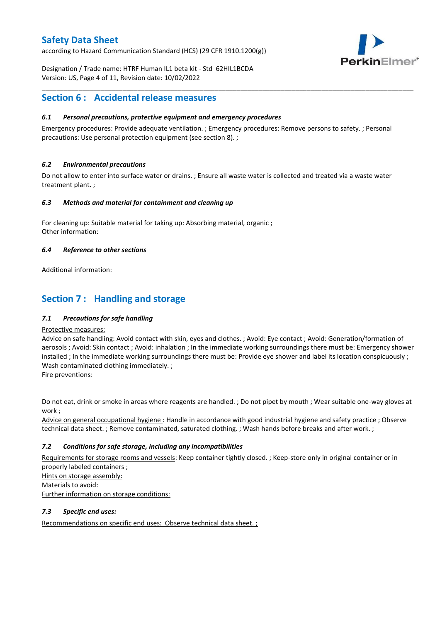according to Hazard Communication Standard (HCS) (29 CFR 1910.1200(g))



Designation / Trade name: HTRF Human IL1 beta kit - Std 62HIL1BCDA Version: US, Page 4 of 11, Revision date: 10/02/2022

## **Section 6 : Accidental release measures**

### *6.1 Personal precautions, protective equipment and emergency procedures*

Emergency procedures: Provide adequate ventilation. ; Emergency procedures: Remove persons to safety. ; Personal precautions: Use personal protection equipment (see section 8). ;

\_\_\_\_\_\_\_\_\_\_\_\_\_\_\_\_\_\_\_\_\_\_\_\_\_\_\_\_\_\_\_\_\_\_\_\_\_\_\_\_\_\_\_\_\_\_\_\_\_\_\_\_\_\_\_\_\_\_\_\_\_\_\_\_\_\_\_\_\_\_\_\_\_\_\_\_\_\_\_\_\_\_\_\_\_\_\_\_\_\_\_\_\_\_\_\_\_\_\_\_\_

#### *6.2 Environmental precautions*

Do not allow to enter into surface water or drains. ; Ensure all waste water is collected and treated via a waste water treatment plant. ;

#### *6.3 Methods and material for containment and cleaning up*

For cleaning up: Suitable material for taking up: Absorbing material, organic ; Other information:

#### *6.4 Reference to other sections*

Additional information:

# **Section 7 : Handling and storage**

### *7.1 Precautions for safe handling*

#### Protective measures:

Advice on safe handling: Avoid contact with skin, eyes and clothes. ; Avoid: Eye contact ; Avoid: Generation/formation of aerosols ; Avoid: Skin contact ; Avoid: inhalation ; In the immediate working surroundings there must be: Emergency shower installed ; In the immediate working surroundings there must be: Provide eye shower and label its location conspicuously; Wash contaminated clothing immediately. ;

Fire preventions:

Do not eat, drink or smoke in areas where reagents are handled. ; Do not pipet by mouth ; Wear suitable one-way gloves at work ;

Advice on general occupational hygiene : Handle in accordance with good industrial hygiene and safety practice ; Observe technical data sheet. ; Remove contaminated, saturated clothing. ; Wash hands before breaks and after work. ;

### *7.2 Conditions for safe storage, including any incompatibilities*

Requirements for storage rooms and vessels: Keep container tightly closed. ; Keep-store only in original container or in properly labeled containers ; Hints on storage assembly: Materials to avoid:

Further information on storage conditions:

### *7.3 Specific end uses:*

Recommendations on specific end uses: Observe technical data sheet. ;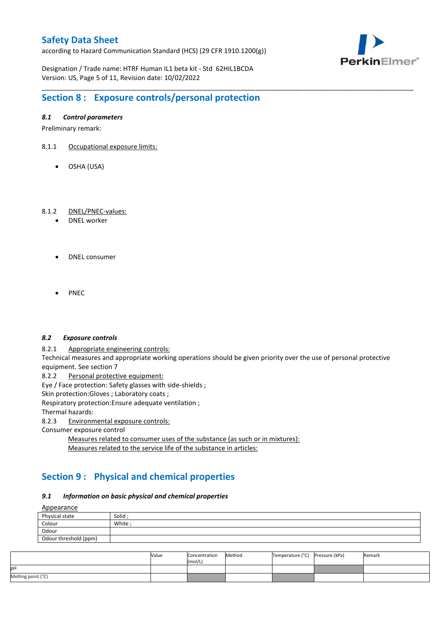according to Hazard Communication Standard (HCS) (29 CFR 1910.1200(g))



Designation / Trade name: HTRF Human IL1 beta kit - Std 62HIL1BCDA Version: US, Page 5 of 11, Revision date: 10/02/2022

# **Section 8 : Exposure controls/personal protection**

### *8.1 Control parameters*

Preliminary remark:

- 8.1.1 Occupational exposure limits:
	- OSHA (USA)

#### 8.1.2 DNEL/PNEC-values:

- DNEL worker
- DNEL consumer
- PNEC

#### *8.2 Exposure controls*

8.2.1 Appropriate engineering controls:

Technical measures and appropriate working operations should be given priority over the use of personal protective equipment. See section 7

\_\_\_\_\_\_\_\_\_\_\_\_\_\_\_\_\_\_\_\_\_\_\_\_\_\_\_\_\_\_\_\_\_\_\_\_\_\_\_\_\_\_\_\_\_\_\_\_\_\_\_\_\_\_\_\_\_\_\_\_\_\_\_\_\_\_\_\_\_\_\_\_\_\_\_\_\_\_\_\_\_\_\_\_\_\_\_\_\_\_\_\_\_\_\_\_\_\_\_\_\_

8.2.2 Personal protective equipment:

Eye / Face protection: Safety glasses with side-shields ;

Skin protection: Gloves ; Laboratory coats ;

Respiratory protection:Ensure adequate ventilation ;

Thermal hazards:

8.2.3 Environmental exposure controls:

Consumer exposure control

Measures related to consumer uses of the substance (as such or in mixtures): Measures related to the service life of the substance in articles:

# **Section 9 : Physical and chemical properties**

#### *9.1 Information on basic physical and chemical properties*

**A**ppearance

| $\frac{A_{\text{p}}}{A_{\text{p}}}$ |         |
|-------------------------------------|---------|
| Physical state                      | Solid ; |
| Colour                              | White:  |
| Odour                               |         |
| Odour threshold (ppm)               |         |

|                    | Value | Concentration<br>(mol/L) | Method | Temperature (°C) | Pressure (kPa) | Remark |
|--------------------|-------|--------------------------|--------|------------------|----------------|--------|
| pН                 |       |                          |        |                  |                |        |
| Melting point (°C) |       |                          |        |                  |                |        |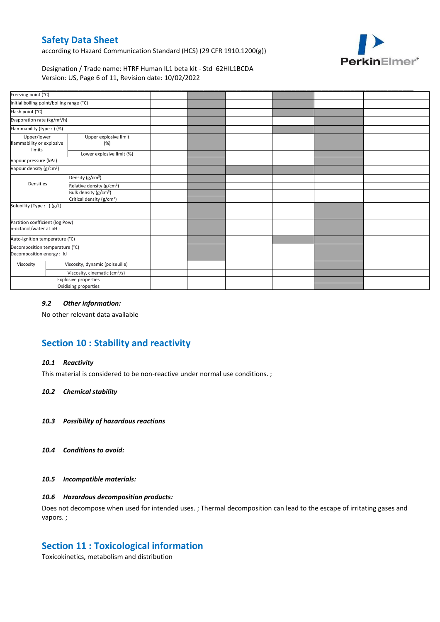according to Hazard Communication Standard (HCS) (29 CFR 1910.1200(g))



Designation / Trade name: HTRF Human IL1 beta kit - Std 62HIL1BCDA Version: US, Page 6 of 11, Revision date: 10/02/2022

| Freezing point (°C)                                         | Initial boiling point/boiling range (°C)  |  |  |  |
|-------------------------------------------------------------|-------------------------------------------|--|--|--|
|                                                             |                                           |  |  |  |
|                                                             |                                           |  |  |  |
| Flash point (°C)                                            |                                           |  |  |  |
| Evaporation rate (kg/m <sup>2</sup> /h)                     |                                           |  |  |  |
| Flammability (type : ) (%)                                  |                                           |  |  |  |
| Upper/lower<br>flammability or explosive<br>limits          | Upper explosive limit<br>(%)              |  |  |  |
|                                                             | Lower explosive limit (%)                 |  |  |  |
| Vapour pressure (kPa)                                       |                                           |  |  |  |
| Vapour density (g/cm <sup>3</sup> )                         |                                           |  |  |  |
|                                                             | Density (g/cm <sup>3</sup> )              |  |  |  |
| Densities                                                   | Relative density (g/cm <sup>3</sup> )     |  |  |  |
|                                                             | Bulk density (g/cm <sup>3</sup> )         |  |  |  |
|                                                             | Critical density (g/cm <sup>3</sup> )     |  |  |  |
| Solubility (Type: ) (g/L)                                   |                                           |  |  |  |
| Partition coefficient (log Pow)<br>n-octanol/water at pH :  |                                           |  |  |  |
| Auto-ignition temperature (°C)                              |                                           |  |  |  |
| Decomposition temperature (°C)<br>Decomposition energy : kJ |                                           |  |  |  |
| Viscosity                                                   | Viscosity, dynamic (poiseuille)           |  |  |  |
|                                                             | Viscosity, cinematic (cm <sup>3</sup> /s) |  |  |  |
|                                                             | Explosive properties                      |  |  |  |
|                                                             | Oxidising properties                      |  |  |  |

#### *9.2 Other information:*

No other relevant data available

# **Section 10 : Stability and reactivity**

#### *10.1 Reactivity*

This material is considered to be non-reactive under normal use conditions. ;

#### *10.2 Chemical stability*

- *10.3 Possibility of hazardous reactions*
- *10.4 Conditions to avoid:*

#### *10.5 Incompatible materials:*

#### *10.6 Hazardous decomposition products:*

Does not decompose when used for intended uses. ; Thermal decomposition can lead to the escape of irritating gases and vapors. ;

### **Section 11 : Toxicological information**

Toxicokinetics, metabolism and distribution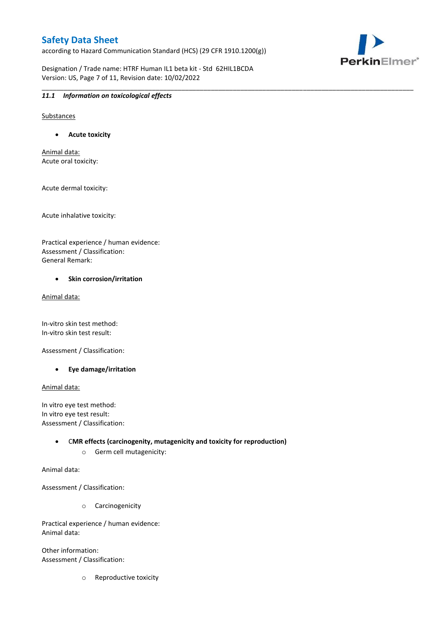according to Hazard Communication Standard (HCS) (29 CFR 1910.1200(g))

\_\_\_\_\_\_\_\_\_\_\_\_\_\_\_\_\_\_\_\_\_\_\_\_\_\_\_\_\_\_\_\_\_\_\_\_\_\_\_\_\_\_\_\_\_\_\_\_\_\_\_\_\_\_\_\_\_\_\_\_\_\_\_\_\_\_\_\_\_\_\_\_\_\_\_\_\_\_\_\_\_\_\_\_\_\_\_\_\_\_\_\_\_\_\_\_\_\_\_\_\_

Designation / Trade name: HTRF Human IL1 beta kit - Std 62HIL1BCDA Version: US, Page 7 of 11, Revision date: 10/02/2022



#### *11.1 Information on toxicological effects*

Substances

**Acute toxicity**

Animal data: Acute oral toxicity:

Acute dermal toxicity:

Acute inhalative toxicity:

Practical experience / human evidence: Assessment / Classification: General Remark:

#### **•** Skin corrosion/irritation

Animal data:

In-vitro skin test method: In-vitro skin test result:

Assessment / Classification:

**Eye damage/irritation**

Animal data:

In vitro eye test method: In vitro eye test result: Assessment / Classification:

> C**MR effects (carcinogenity, mutagenicity and toxicity for reproduction)** o Germ cell mutagenicity:

Animal data:

Assessment / Classification:

o Carcinogenicity

Practical experience / human evidence: Animal data:

Other information: Assessment / Classification:

o Reproductive toxicity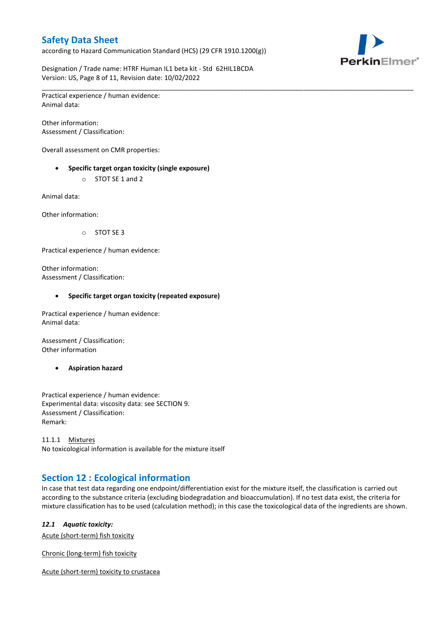according to Hazard Communication Standard (HCS) (29 CFR 1910.1200(g))



Designation / Trade name: HTRF Human IL1 beta kit - Std 62HIL1BCDA Version: US, Page 8 of 11, Revision date: 10/02/2022

\_\_\_\_\_\_\_\_\_\_\_\_\_\_\_\_\_\_\_\_\_\_\_\_\_\_\_\_\_\_\_\_\_\_\_\_\_\_\_\_\_\_\_\_\_\_\_\_\_\_\_\_\_\_\_\_\_\_\_\_\_\_\_\_\_\_\_\_\_\_\_\_\_\_\_\_\_\_\_\_\_\_\_\_\_\_\_\_\_\_\_\_\_\_\_\_\_\_\_\_\_ Practical experience / human evidence: Animal data:

Other information: Assessment / Classification:

Overall assessment on CMR properties:

- **Specific target organ toxicity (single exposure)**
	- o STOT SE 1 and 2

Animal data:

Other information:

o STOT SE 3

Practical experience / human evidence:

Other information: Assessment / Classification:

#### **Specific target organ toxicity (repeated exposure)**

Practical experience / human evidence: Animal data:

Assessment / Classification: Other information

**Aspiration hazard**

Practical experience / human evidence: Experimental data: viscosity data: see SECTION 9. Assessment / Classification: Remark:

11.1.1 Mixtures No toxicological information is available for the mixture itself

# **Section 12 : Ecological information**

In case that test data regarding one endpoint/differentiation exist for the mixture itself, the classification is carried out according to the substance criteria (excluding biodegradation and bioaccumulation). If no test data exist, the criteria for mixture classification has to be used (calculation method); in this case the toxicological data of the ingredients are shown.

#### *12.1 Aquatic toxicity:*

Acute (short-term) fish toxicity

Chronic (long-term) fish toxicity

Acute (short-term) toxicity to crustacea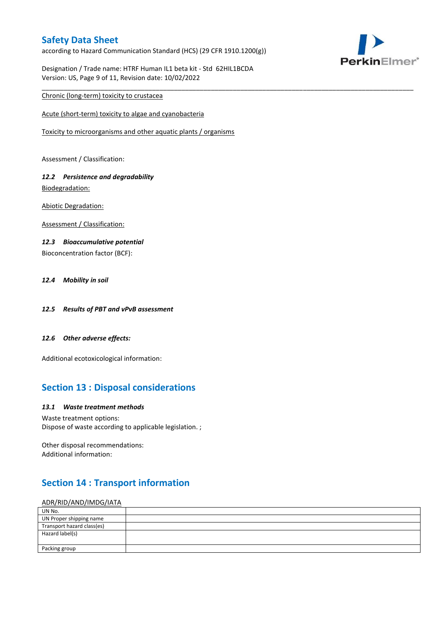according to Hazard Communication Standard (HCS) (29 CFR 1910.1200(g))

\_\_\_\_\_\_\_\_\_\_\_\_\_\_\_\_\_\_\_\_\_\_\_\_\_\_\_\_\_\_\_\_\_\_\_\_\_\_\_\_\_\_\_\_\_\_\_\_\_\_\_\_\_\_\_\_\_\_\_\_\_\_\_\_\_\_\_\_\_\_\_\_\_\_\_\_\_\_\_\_\_\_\_\_\_\_\_\_\_\_\_\_\_\_\_\_\_\_\_\_\_



Designation / Trade name: HTRF Human IL1 beta kit - Std 62HIL1BCDA Version: US, Page 9 of 11, Revision date: 10/02/2022

### Chronic (long-term) toxicity to crustacea

Acute (short-term) toxicity to algae and cyanobacteria

Toxicity to microorganisms and other aquatic plants / organisms

Assessment / Classification:

### *12.2 Persistence and degradability* Biodegradation:

Abiotic Degradation:

Assessment / Classification:

#### *12.3 Bioaccumulative potential*

Bioconcentration factor (BCF):

### *12.4 Mobility in soil*

- *12.5 Results of PBT and vPvB assessment*
- *12.6 Other adverse effects:*

Additional ecotoxicological information:

# **Section 13 : Disposal considerations**

#### *13.1 Waste treatment methods*

Waste treatment options: Dispose of waste according to applicable legislation. ;

Other disposal recommendations: Additional information:

# **Section 14 : Transport information**

#### ADR/RID/AND/IMDG/IATA

| UN No.                     |  |
|----------------------------|--|
| UN Proper shipping name    |  |
| Transport hazard class(es) |  |
| Hazard label(s)            |  |
|                            |  |
| Packing group              |  |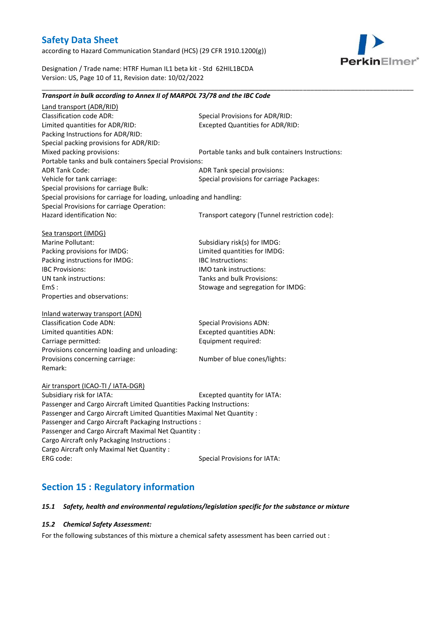according to Hazard Communication Standard (HCS) (29 CFR 1910.1200(g))



Designation / Trade name: HTRF Human IL1 beta kit - Std 62HIL1BCDA Version: US, Page 10 of 11, Revision date: 10/02/2022

| Transport in bulk according to Annex II of MARPOL 73/78 and the IBC Code |                                                  |
|--------------------------------------------------------------------------|--------------------------------------------------|
| Land transport (ADR/RID)                                                 |                                                  |
| <b>Classification code ADR:</b>                                          | Special Provisions for ADR/RID:                  |
| Limited quantities for ADR/RID:                                          | <b>Excepted Quantities for ADR/RID:</b>          |
| Packing Instructions for ADR/RID:                                        |                                                  |
| Special packing provisions for ADR/RID:                                  |                                                  |
| Mixed packing provisions:                                                | Portable tanks and bulk containers Instructions: |
| Portable tanks and bulk containers Special Provisions:                   |                                                  |
| <b>ADR Tank Code:</b>                                                    | ADR Tank special provisions:                     |
| Vehicle for tank carriage:                                               | Special provisions for carriage Packages:        |
| Special provisions for carriage Bulk:                                    |                                                  |
| Special provisions for carriage for loading, unloading and handling:     |                                                  |
| Special Provisions for carriage Operation:                               |                                                  |
| Hazard identification No:                                                | Transport category (Tunnel restriction code):    |
| Sea transport (IMDG)                                                     |                                                  |
| Marine Pollutant:                                                        | Subsidiary risk(s) for IMDG:                     |
| Packing provisions for IMDG:                                             | Limited quantities for IMDG:                     |
| Packing instructions for IMDG:                                           | <b>IBC</b> Instructions:                         |
| <b>IBC Provisions:</b>                                                   | IMO tank instructions:                           |
| UN tank instructions:                                                    | Tanks and bulk Provisions:                       |
| EmS:                                                                     | Stowage and segregation for IMDG:                |
| Properties and observations:                                             |                                                  |
| Inland waterway transport (ADN)                                          |                                                  |
| <b>Classification Code ADN:</b>                                          | <b>Special Provisions ADN:</b>                   |
| Limited quantities ADN:                                                  | <b>Excepted quantities ADN:</b>                  |
| Carriage permitted:                                                      | Equipment required:                              |
| Provisions concerning loading and unloading:                             |                                                  |
| Provisions concerning carriage:                                          | Number of blue cones/lights:                     |
| Remark:                                                                  |                                                  |
| Air transport (ICAO-TI / IATA-DGR)                                       |                                                  |
| Subsidiary risk for IATA:                                                | Excepted quantity for IATA:                      |
| Passenger and Cargo Aircraft Limited Quantities Packing Instructions:    |                                                  |
| Passenger and Cargo Aircraft Limited Quantities Maximal Net Quantity :   |                                                  |
| Passenger and Cargo Aircraft Packaging Instructions :                    |                                                  |
| Passenger and Cargo Aircraft Maximal Net Quantity :                      |                                                  |
| Cargo Aircraft only Packaging Instructions :                             |                                                  |
| Cargo Aircraft only Maximal Net Quantity :                               |                                                  |
| ERG code:                                                                | <b>Special Provisions for IATA:</b>              |
|                                                                          |                                                  |

\_\_\_\_\_\_\_\_\_\_\_\_\_\_\_\_\_\_\_\_\_\_\_\_\_\_\_\_\_\_\_\_\_\_\_\_\_\_\_\_\_\_\_\_\_\_\_\_\_\_\_\_\_\_\_\_\_\_\_\_\_\_\_\_\_\_\_\_\_\_\_\_\_\_\_\_\_\_\_\_\_\_\_\_\_\_\_\_\_\_\_\_\_\_\_\_\_\_\_\_\_

# **Section 15 : Regulatory information**

### *15.1 Safety, health and environmental regulations/legislation specific for the substance or mixture*

#### *15.2 Chemical Safety Assessment:*

For the following substances of this mixture a chemical safety assessment has been carried out :